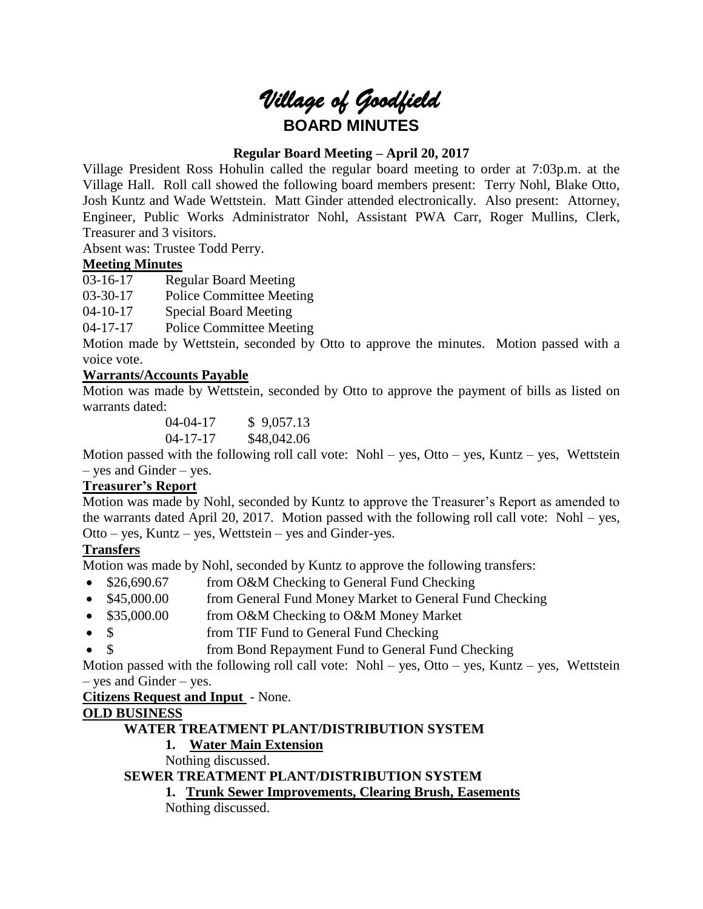

## **Regular Board Meeting – April 20, 2017**

Village President Ross Hohulin called the regular board meeting to order at 7:03p.m. at the Village Hall. Roll call showed the following board members present: Terry Nohl, Blake Otto, Josh Kuntz and Wade Wettstein. Matt Ginder attended electronically. Also present: Attorney, Engineer, Public Works Administrator Nohl, Assistant PWA Carr, Roger Mullins, Clerk, Treasurer and 3 visitors.

Absent was: Trustee Todd Perry.

### **Meeting Minutes**

03-16-17 Regular Board Meeting

03-30-17 Police Committee Meeting

04-10-17 Special Board Meeting

04-17-17 Police Committee Meeting

Motion made by Wettstein, seconded by Otto to approve the minutes. Motion passed with a voice vote.

### **Warrants/Accounts Payable**

Motion was made by Wettstein, seconded by Otto to approve the payment of bills as listed on warrants dated:

> 04-04-17 \$ 9,057.13 04-17-17 \$48,042.06

Motion passed with the following roll call vote: Nohl – yes, Otto – yes, Kuntz – yes, Wettstein – yes and Ginder – yes.

# **Treasurer's Report**

Motion was made by Nohl, seconded by Kuntz to approve the Treasurer's Report as amended to the warrants dated April 20, 2017. Motion passed with the following roll call vote: Nohl – yes, Otto – yes, Kuntz – yes, Wettstein – yes and Ginder-yes.

### **Transfers**

Motion was made by Nohl, seconded by Kuntz to approve the following transfers:

- \$26,690.67 from O&M Checking to General Fund Checking
- \$45,000.00 from General Fund Money Market to General Fund Checking
- \$35,000.00 from O&M Checking to O&M Money Market
- \$ from TIF Fund to General Fund Checking
- \$ from Bond Repayment Fund to General Fund Checking

Motion passed with the following roll call vote: Nohl – yes, Otto – yes, Kuntz – yes, Wettstein – yes and Ginder – yes.

# **Citizens Request and Input** - None.

### **OLD BUSINESS**

## **WATER TREATMENT PLANT/DISTRIBUTION SYSTEM**

# **1. Water Main Extension**

Nothing discussed.

**SEWER TREATMENT PLANT/DISTRIBUTION SYSTEM**

### **1. Trunk Sewer Improvements, Clearing Brush, Easements**

Nothing discussed.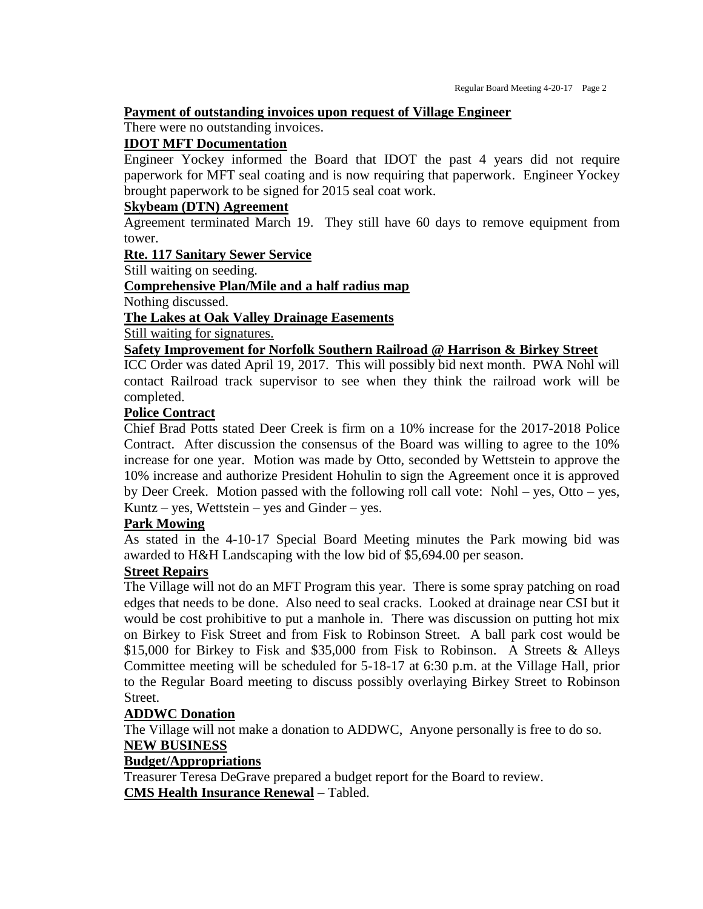#### **Payment of outstanding invoices upon request of Village Engineer**

There were no outstanding invoices.

### **IDOT MFT Documentation**

Engineer Yockey informed the Board that IDOT the past 4 years did not require paperwork for MFT seal coating and is now requiring that paperwork. Engineer Yockey brought paperwork to be signed for 2015 seal coat work.

#### **Skybeam (DTN) Agreement**

Agreement terminated March 19. They still have 60 days to remove equipment from tower.

#### **Rte. 117 Sanitary Sewer Service**

Still waiting on seeding.

#### **Comprehensive Plan/Mile and a half radius map**

Nothing discussed.

#### **The Lakes at Oak Valley Drainage Easements**

Still waiting for signatures.

### **Safety Improvement for Norfolk Southern Railroad @ Harrison & Birkey Street**

ICC Order was dated April 19, 2017. This will possibly bid next month. PWA Nohl will contact Railroad track supervisor to see when they think the railroad work will be completed.

#### **Police Contract**

Chief Brad Potts stated Deer Creek is firm on a 10% increase for the 2017-2018 Police Contract. After discussion the consensus of the Board was willing to agree to the 10% increase for one year. Motion was made by Otto, seconded by Wettstein to approve the 10% increase and authorize President Hohulin to sign the Agreement once it is approved by Deer Creek. Motion passed with the following roll call vote: Nohl – yes, Otto – yes, Kuntz – yes, Wettstein – yes and Ginder – yes.

#### **Park Mowing**

As stated in the 4-10-17 Special Board Meeting minutes the Park mowing bid was awarded to H&H Landscaping with the low bid of \$5,694.00 per season.

### **Street Repairs**

The Village will not do an MFT Program this year. There is some spray patching on road edges that needs to be done. Also need to seal cracks. Looked at drainage near CSI but it would be cost prohibitive to put a manhole in. There was discussion on putting hot mix on Birkey to Fisk Street and from Fisk to Robinson Street. A ball park cost would be \$15,000 for Birkey to Fisk and \$35,000 from Fisk to Robinson. A Streets & Alleys Committee meeting will be scheduled for 5-18-17 at 6:30 p.m. at the Village Hall, prior to the Regular Board meeting to discuss possibly overlaying Birkey Street to Robinson Street.

#### **ADDWC Donation**

The Village will not make a donation to ADDWC, Anyone personally is free to do so. **NEW BUSINESS**

### **Budget/Appropriations**

Treasurer Teresa DeGrave prepared a budget report for the Board to review. **CMS Health Insurance Renewal** – Tabled.